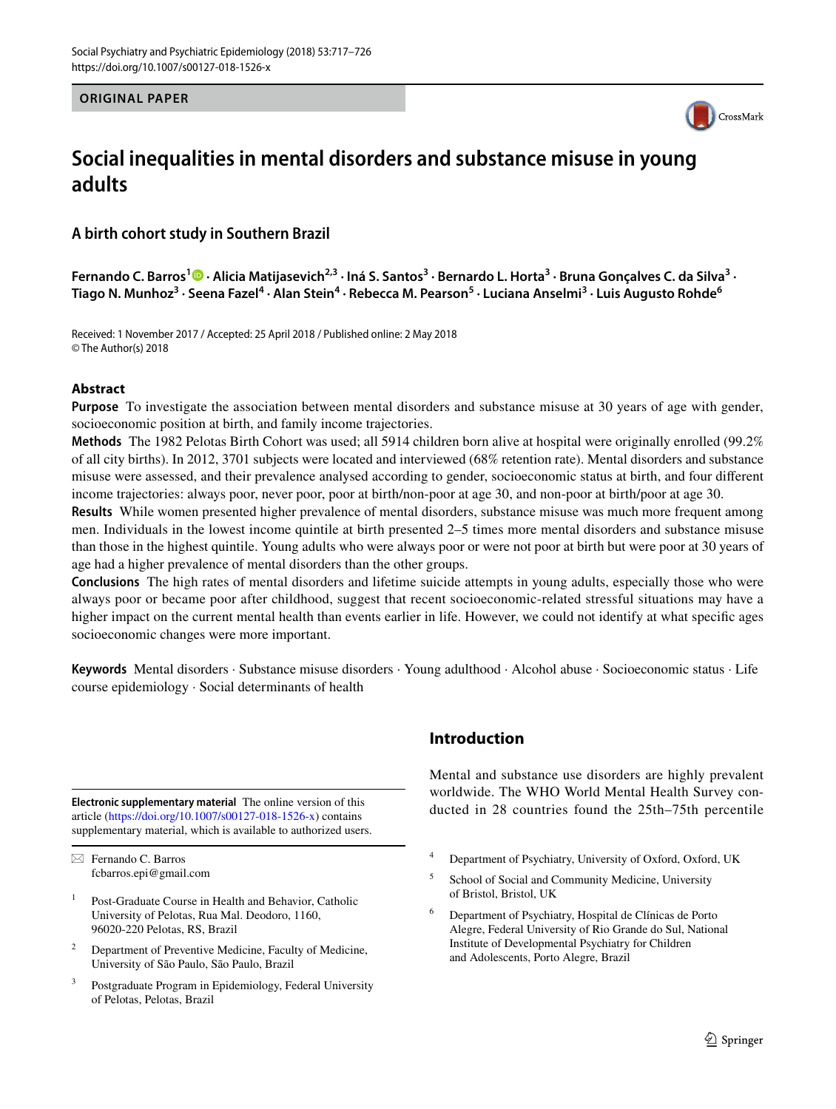#### **ORIGINAL PAPER**



# **Social inequalities in mental disorders and substance misuse in young adults**

**A birth cohort study in Southern Brazil**

FernandoC. Barros<sup>1</sup> © · Alicia Matijasevich<sup>2,3</sup> · Iná S. Santos<sup>3</sup> · Bernardo L. Horta<sup>3</sup> · Bruna Gonçalves C. da Silva<sup>3</sup> · <code>Tiago N. Munhoz $^3$  · Seena Fazel $^4$  · Alan Stein $^4$  · Rebecca M. Pearson $^5$  · Luciana Anselmi $^3$  · Luis Augusto Rohde $^6$ </code>

Received: 1 November 2017 / Accepted: 25 April 2018 / Published online: 2 May 2018 © The Author(s) 2018

#### **Abstract**

**Purpose** To investigate the association between mental disorders and substance misuse at 30 years of age with gender, socioeconomic position at birth, and family income trajectories.

**Methods** The 1982 Pelotas Birth Cohort was used; all 5914 children born alive at hospital were originally enrolled (99.2% of all city births). In 2012, 3701 subjects were located and interviewed (68% retention rate). Mental disorders and substance misuse were assessed, and their prevalence analysed according to gender, socioeconomic status at birth, and four different income trajectories: always poor, never poor, poor at birth/non-poor at age 30, and non-poor at birth/poor at age 30.

**Results** While women presented higher prevalence of mental disorders, substance misuse was much more frequent among men. Individuals in the lowest income quintile at birth presented 2–5 times more mental disorders and substance misuse than those in the highest quintile. Young adults who were always poor or were not poor at birth but were poor at 30 years of age had a higher prevalence of mental disorders than the other groups.

**Conclusions** The high rates of mental disorders and lifetime suicide attempts in young adults, especially those who were always poor or became poor after childhood, suggest that recent socioeconomic-related stressful situations may have a higher impact on the current mental health than events earlier in life. However, we could not identify at what specific ages socioeconomic changes were more important.

**Keywords** Mental disorders · Substance misuse disorders · Young adulthood · Alcohol abuse · Socioeconomic status · Life course epidemiology · Social determinants of health

article [\(https://doi.org/10.1007/s00127-018-1526-x\)](https://doi.org/10.1007/s00127-018-1526-x) contains supplementary material, which is available to authorized users.

 $\boxtimes$  Fernando C. Barros fcbarros.epi@gmail.com

- Post-Graduate Course in Health and Behavior, Catholic University of Pelotas, Rua Mal. Deodoro, 1160, 96020-220 Pelotas, RS, Brazil
- <sup>2</sup> Department of Preventive Medicine, Faculty of Medicine, University of São Paulo, São Paulo, Brazil
- Postgraduate Program in Epidemiology, Federal University of Pelotas, Pelotas, Brazil

## **Introduction**

Mental and substance use disorders are highly prevalent worldwide. The WHO World Mental Health Survey con-Electronic supplementary material The online version of this ducted in 28 countries found the 25th–75th percentile entire only version of this ducted in 28 countries found the 25th–75th percentile

- <sup>4</sup> Department of Psychiatry, University of Oxford, Oxford, UK
- <sup>5</sup> School of Social and Community Medicine, University of Bristol, Bristol, UK
- <sup>6</sup> Department of Psychiatry, Hospital de Clínicas de Porto Alegre, Federal University of Rio Grande do Sul, National Institute of Developmental Psychiatry for Children and Adolescents, Porto Alegre, Brazil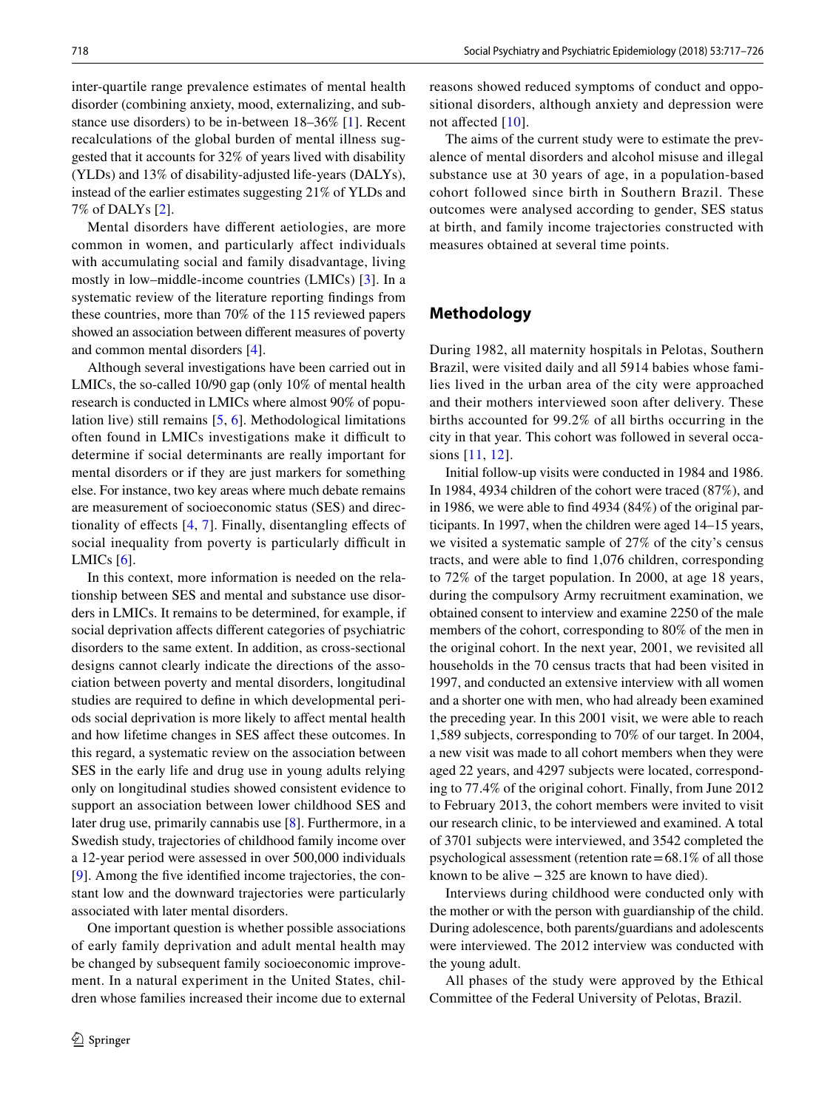inter-quartile range prevalence estimates of mental health disorder (combining anxiety, mood, externalizing, and substance use disorders) to be in-between 18–36% [[1\]](#page-8-0). Recent recalculations of the global burden of mental illness suggested that it accounts for 32% of years lived with disability (YLDs) and 13% of disability-adjusted life-years (DALYs), instead of the earlier estimates suggesting 21% of YLDs and 7% of DALYs [\[2](#page-8-1)].

Mental disorders have different aetiologies, are more common in women, and particularly affect individuals with accumulating social and family disadvantage, living mostly in low–middle-income countries (LMICs) [\[3\]](#page-8-2). In a systematic review of the literature reporting findings from these countries, more than 70% of the 115 reviewed papers showed an association between different measures of poverty and common mental disorders [[4\]](#page-8-3).

Although several investigations have been carried out in LMICs, the so-called 10/90 gap (only 10% of mental health research is conducted in LMICs where almost 90% of population live) still remains [\[5,](#page-8-4) [6\]](#page-8-5). Methodological limitations often found in LMICs investigations make it difficult to determine if social determinants are really important for mental disorders or if they are just markers for something else. For instance, two key areas where much debate remains are measurement of socioeconomic status (SES) and directionality of effects [\[4](#page-8-3), [7](#page-8-6)]. Finally, disentangling effects of social inequality from poverty is particularly difficult in LMICs  $[6]$  $[6]$  $[6]$ .

In this context, more information is needed on the relationship between SES and mental and substance use disorders in LMICs. It remains to be determined, for example, if social deprivation affects different categories of psychiatric disorders to the same extent. In addition, as cross-sectional designs cannot clearly indicate the directions of the association between poverty and mental disorders, longitudinal studies are required to define in which developmental periods social deprivation is more likely to affect mental health and how lifetime changes in SES affect these outcomes. In this regard, a systematic review on the association between SES in the early life and drug use in young adults relying only on longitudinal studies showed consistent evidence to support an association between lower childhood SES and later drug use, primarily cannabis use [\[8](#page-8-7)]. Furthermore, in a Swedish study, trajectories of childhood family income over a 12-year period were assessed in over 500,000 individuals [\[9](#page-8-8)]. Among the five identified income trajectories, the constant low and the downward trajectories were particularly associated with later mental disorders.

One important question is whether possible associations of early family deprivation and adult mental health may be changed by subsequent family socioeconomic improvement. In a natural experiment in the United States, children whose families increased their income due to external reasons showed reduced symptoms of conduct and oppositional disorders, although anxiety and depression were not affected [[10](#page-8-9)].

The aims of the current study were to estimate the prevalence of mental disorders and alcohol misuse and illegal substance use at 30 years of age, in a population-based cohort followed since birth in Southern Brazil. These outcomes were analysed according to gender, SES status at birth, and family income trajectories constructed with measures obtained at several time points.

## **Methodology**

During 1982, all maternity hospitals in Pelotas, Southern Brazil, were visited daily and all 5914 babies whose families lived in the urban area of the city were approached and their mothers interviewed soon after delivery. These births accounted for 99.2% of all births occurring in the city in that year. This cohort was followed in several occasions [[11](#page-8-10), [12\]](#page-8-11).

Initial follow-up visits were conducted in 1984 and 1986. In 1984, 4934 children of the cohort were traced (87%), and in 1986, we were able to find 4934 (84%) of the original participants. In 1997, when the children were aged 14–15 years, we visited a systematic sample of 27% of the city's census tracts, and were able to find 1,076 children, corresponding to 72% of the target population. In 2000, at age 18 years, during the compulsory Army recruitment examination, we obtained consent to interview and examine 2250 of the male members of the cohort, corresponding to 80% of the men in the original cohort. In the next year, 2001, we revisited all households in the 70 census tracts that had been visited in 1997, and conducted an extensive interview with all women and a shorter one with men, who had already been examined the preceding year. In this 2001 visit, we were able to reach 1,589 subjects, corresponding to 70% of our target. In 2004, a new visit was made to all cohort members when they were aged 22 years, and 4297 subjects were located, corresponding to 77.4% of the original cohort. Finally, from June 2012 to February 2013, the cohort members were invited to visit our research clinic, to be interviewed and examined. A total of 3701 subjects were interviewed, and 3542 completed the psychological assessment (retention rate=68.1% of all those known to be alive −325 are known to have died).

Interviews during childhood were conducted only with the mother or with the person with guardianship of the child. During adolescence, both parents/guardians and adolescents were interviewed. The 2012 interview was conducted with the young adult.

All phases of the study were approved by the Ethical Committee of the Federal University of Pelotas, Brazil.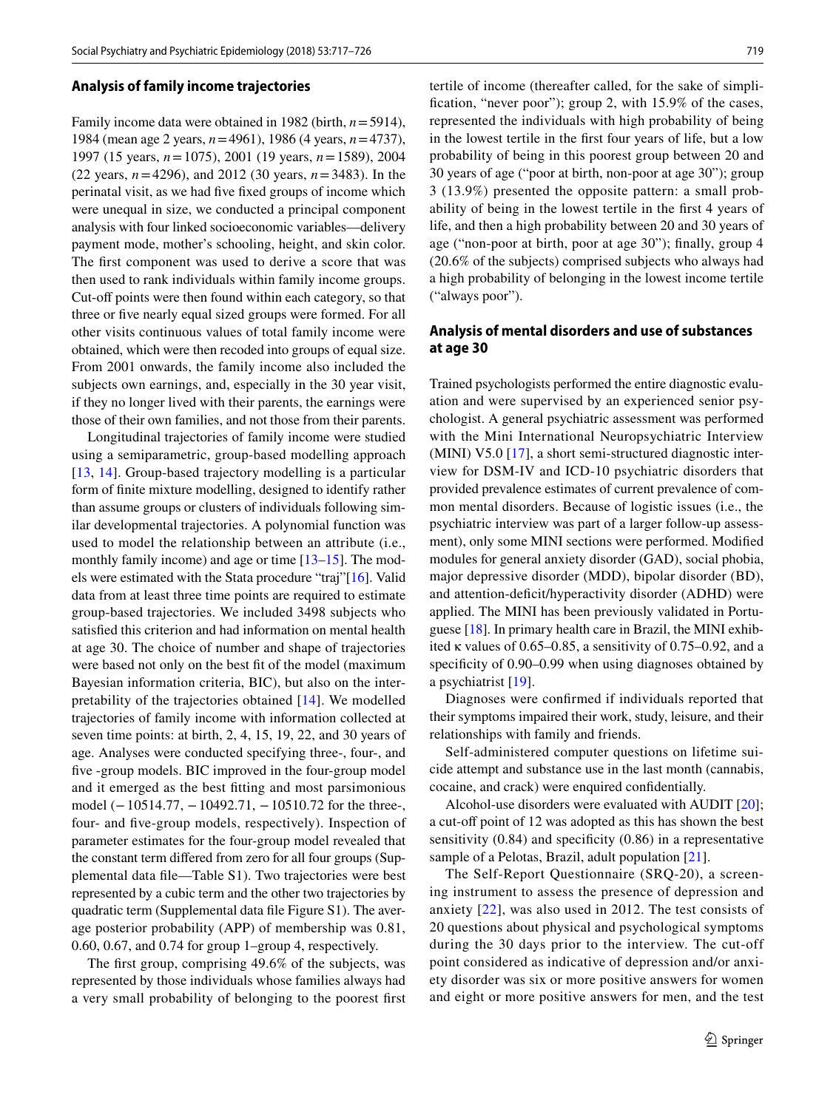#### **Analysis of family income trajectories**

Family income data were obtained in 1982 (birth, *n*=5914), 1984 (mean age 2 years, *n*=4961), 1986 (4 years, *n*=4737), 1997 (15 years, *n*=1075), 2001 (19 years, *n*=1589), 2004 (22 years, *n*=4296), and 2012 (30 years, *n*=3483). In the perinatal visit, as we had five fixed groups of income which were unequal in size, we conducted a principal component analysis with four linked socioeconomic variables—delivery payment mode, mother's schooling, height, and skin color. The first component was used to derive a score that was then used to rank individuals within family income groups. Cut-off points were then found within each category, so that three or five nearly equal sized groups were formed. For all other visits continuous values of total family income were obtained, which were then recoded into groups of equal size. From 2001 onwards, the family income also included the subjects own earnings, and, especially in the 30 year visit, if they no longer lived with their parents, the earnings were those of their own families, and not those from their parents.

Longitudinal trajectories of family income were studied using a semiparametric, group-based modelling approach [\[13,](#page-8-12) [14](#page-8-13)]. Group-based trajectory modelling is a particular form of finite mixture modelling, designed to identify rather than assume groups or clusters of individuals following similar developmental trajectories. A polynomial function was used to model the relationship between an attribute (i.e., monthly family income) and age or time  $[13-15]$  $[13-15]$ . The models were estimated with the Stata procedure "traj"[[16\]](#page-8-15). Valid data from at least three time points are required to estimate group-based trajectories. We included 3498 subjects who satisfied this criterion and had information on mental health at age 30. The choice of number and shape of trajectories were based not only on the best fit of the model (maximum Bayesian information criteria, BIC), but also on the interpretability of the trajectories obtained [[14](#page-8-13)]. We modelled trajectories of family income with information collected at seven time points: at birth, 2, 4, 15, 19, 22, and 30 years of age. Analyses were conducted specifying three-, four-, and five -group models. BIC improved in the four-group model and it emerged as the best fitting and most parsimonious model (−10514.77, −10492.71, −10510.72 for the three-, four- and five-group models, respectively). Inspection of parameter estimates for the four-group model revealed that the constant term differed from zero for all four groups (Supplemental data file—Table S1). Two trajectories were best represented by a cubic term and the other two trajectories by quadratic term (Supplemental data file Figure S1). The average posterior probability (APP) of membership was 0.81, 0.60, 0.67, and 0.74 for group 1–group 4, respectively.

The first group, comprising 49.6% of the subjects, was represented by those individuals whose families always had a very small probability of belonging to the poorest first tertile of income (thereafter called, for the sake of simplification, "never poor"); group 2, with 15.9% of the cases, represented the individuals with high probability of being in the lowest tertile in the first four years of life, but a low probability of being in this poorest group between 20 and 30 years of age ("poor at birth, non-poor at age 30"); group 3 (13.9%) presented the opposite pattern: a small probability of being in the lowest tertile in the first 4 years of life, and then a high probability between 20 and 30 years of age ("non-poor at birth, poor at age 30"); finally, group 4 (20.6% of the subjects) comprised subjects who always had a high probability of belonging in the lowest income tertile ("always poor").

## **Analysis of mental disorders and use of substances at age 30**

Trained psychologists performed the entire diagnostic evaluation and were supervised by an experienced senior psychologist. A general psychiatric assessment was performed with the Mini International Neuropsychiatric Interview (MINI) V5.0 [\[17](#page-8-16)], a short semi-structured diagnostic interview for DSM-IV and ICD-10 psychiatric disorders that provided prevalence estimates of current prevalence of common mental disorders. Because of logistic issues (i.e., the psychiatric interview was part of a larger follow-up assessment), only some MINI sections were performed. Modified modules for general anxiety disorder (GAD), social phobia, major depressive disorder (MDD), bipolar disorder (BD), and attention-deficit/hyperactivity disorder (ADHD) were applied. The MINI has been previously validated in Portuguese [\[18](#page-8-17)]. In primary health care in Brazil, the MINI exhibited  $\kappa$  values of 0.65–0.85, a sensitivity of 0.75–0.92, and a specificity of 0.90–0.99 when using diagnoses obtained by a psychiatrist [\[19](#page-8-18)].

Diagnoses were confirmed if individuals reported that their symptoms impaired their work, study, leisure, and their relationships with family and friends.

Self-administered computer questions on lifetime suicide attempt and substance use in the last month (cannabis, cocaine, and crack) were enquired confidentially.

Alcohol-use disorders were evaluated with AUDIT [[20](#page-8-19)]; a cut-off point of 12 was adopted as this has shown the best sensitivity (0.84) and specificity (0.86) in a representative sample of a Pelotas, Brazil, adult population [\[21\]](#page-8-20).

The Self-Report Questionnaire (SRQ-20), a screening instrument to assess the presence of depression and anxiety [[22](#page-8-21)], was also used in 2012. The test consists of 20 questions about physical and psychological symptoms during the 30 days prior to the interview. The cut-off point considered as indicative of depression and/or anxiety disorder was six or more positive answers for women and eight or more positive answers for men, and the test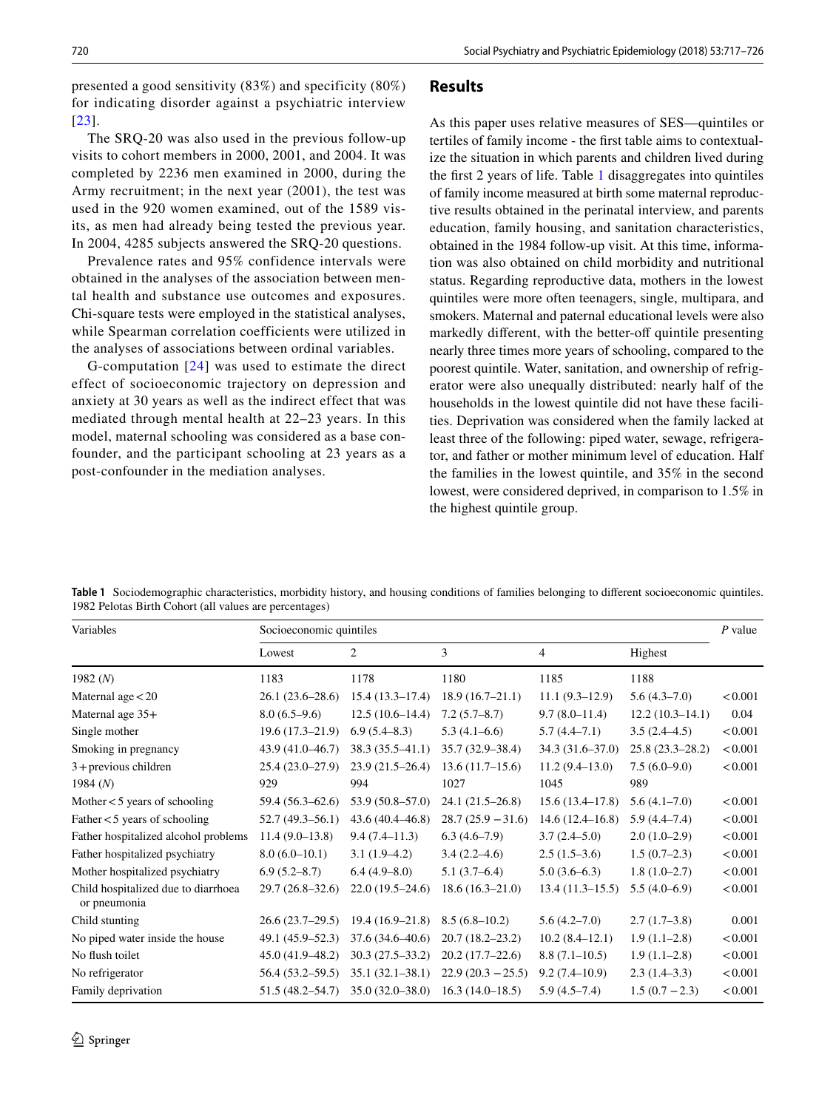presented a good sensitivity (83%) and specificity (80%) for indicating disorder against a psychiatric interview [[23](#page-8-22)].

The SRQ-20 was also used in the previous follow-up visits to cohort members in 2000, 2001, and 2004. It was completed by 2236 men examined in 2000, during the Army recruitment; in the next year (2001), the test was used in the 920 women examined, out of the 1589 visits, as men had already being tested the previous year. In 2004, 4285 subjects answered the SRQ-20 questions.

Prevalence rates and 95% confidence intervals were obtained in the analyses of the association between mental health and substance use outcomes and exposures. Chi-square tests were employed in the statistical analyses, while Spearman correlation coefficients were utilized in the analyses of associations between ordinal variables.

G-computation [[24\]](#page-9-0) was used to estimate the direct effect of socioeconomic trajectory on depression and anxiety at 30 years as well as the indirect effect that was mediated through mental health at 22–23 years. In this model, maternal schooling was considered as a base confounder, and the participant schooling at 23 years as a post-confounder in the mediation analyses.

#### **Results**

As this paper uses relative measures of SES—quintiles or tertiles of family income - the first table aims to contextualize the situation in which parents and children lived during the first 2 years of life. Table [1](#page-3-0) disaggregates into quintiles of family income measured at birth some maternal reproductive results obtained in the perinatal interview, and parents education, family housing, and sanitation characteristics, obtained in the 1984 follow-up visit. At this time, information was also obtained on child morbidity and nutritional status. Regarding reproductive data, mothers in the lowest quintiles were more often teenagers, single, multipara, and smokers. Maternal and paternal educational levels were also markedly different, with the better-off quintile presenting nearly three times more years of schooling, compared to the poorest quintile. Water, sanitation, and ownership of refrigerator were also unequally distributed: nearly half of the households in the lowest quintile did not have these facilities. Deprivation was considered when the family lacked at least three of the following: piped water, sewage, refrigerator, and father or mother minimum level of education. Half the families in the lowest quintile, and 35% in the second lowest, were considered deprived, in comparison to 1.5% in the highest quintile group.

<span id="page-3-0"></span>**Table 1** Sociodemographic characteristics, morbidity history, and housing conditions of families belonging to different socioeconomic quintiles. 1982 Pelotas Birth Cohort (all values are percentages)

| Variables                                           | Socioeconomic quintiles |                     |                     |                     |                     |         |
|-----------------------------------------------------|-------------------------|---------------------|---------------------|---------------------|---------------------|---------|
|                                                     | Lowest                  | 2                   | 3                   | $\overline{4}$      | Highest             |         |
| 1982 $(N)$                                          | 1183                    | 1178                | 1180                | 1185                | 1188                |         |
| Maternal age $<$ 20                                 | $26.1(23.6-28.6)$       | $15.4(13.3-17.4)$   | $18.9(16.7-21.1)$   | $11.1(9.3-12.9)$    | $5.6(4.3-7.0)$      | < 0.001 |
| Maternal age 35+                                    | $8.0(6.5-9.6)$          | $12.5(10.6-14.4)$   | $7.2(5.7 - 8.7)$    | $9.7(8.0-11.4)$     | $12.2(10.3-14.1)$   | 0.04    |
| Single mother                                       | $19.6(17.3 - 21.9)$     | 6.9(5.4–8.3)        | $5.3(4.1-6.6)$      | $5.7(4.4-7.1)$      | $3.5(2.4-4.5)$      | < 0.001 |
| Smoking in pregnancy                                | 43.9 (41.0–46.7)        | $38.3(35.5 - 41.1)$ | $35.7(32.9 - 38.4)$ | 34.3 (31.6–37.0)    | $25.8(23.3 - 28.2)$ | < 0.001 |
| $3 +$ previous children                             | $25.4(23.0-27.9)$       | $23.9(21.5-26.4)$   | $13.6(11.7-15.6)$   | $11.2(9.4-13.0)$    | $7.5(6.0-9.0)$      | < 0.001 |
| 1984 $(N)$                                          | 929                     | 994                 | 1027                | 1045                | 989                 |         |
| Mother $<$ 5 years of schooling                     | 59.4 (56.3–62.6)        | 53.9 (50.8-57.0)    | $24.1(21.5-26.8)$   | $15.6(13.4-17.8)$   | $5.6(4.1-7.0)$      | < 0.001 |
| Father $<$ 5 years of schooling                     | $52.7(49.3 - 56.1)$     | $43.6(40.4 - 46.8)$ | $28.7(25.9 - 31.6)$ | $14.6(12.4 - 16.8)$ | $5.9(4.4 - 7.4)$    | < 0.001 |
| Father hospitalized alcohol problems                | $11.4(9.0-13.8)$        | $9.4(7.4-11.3)$     | $6.3(4.6-7.9)$      | $3.7(2.4-5.0)$      | $2.0(1.0-2.9)$      | < 0.001 |
| Father hospitalized psychiatry                      | $8.0(6.0-10.1)$         | $3.1(1.9-4.2)$      | $3.4(2.2 - 4.6)$    | $2.5(1.5-3.6)$      | $1.5(0.7-2.3)$      | < 0.001 |
| Mother hospitalized psychiatry                      | $6.9(5.2 - 8.7)$        | $6.4(4.9-8.0)$      | $5.1(3.7-6.4)$      | $5.0(3.6-6.3)$      | $1.8(1.0-2.7)$      | < 0.001 |
| Child hospitalized due to diarrhoea<br>or pneumonia | $29.7(26.8-32.6)$       | $22.0(19.5-24.6)$   | $18.6(16.3-21.0)$   | $13.4(11.3-15.5)$   | $5.5(4.0-6.9)$      | < 0.001 |
| Child stunting                                      | 26.6(23.7–29.5)         | $19.4(16.9-21.8)$   | $8.5(6.8-10.2)$     | $5.6(4.2 - 7.0)$    | $2.7(1.7-3.8)$      | 0.001   |
| No piped water inside the house                     | 49.1 (45.9–52.3)        | $37.6(34.6 - 40.6)$ | $20.7(18.2 - 23.2)$ | $10.2(8.4-12.1)$    | $1.9(1.1-2.8)$      | < 0.001 |
| No flush toilet                                     | 45.0 (41.9–48.2)        | $30.3(27.5-33.2)$   | $20.2(17.7-22.6)$   | $8.8(7.1-10.5)$     | $1.9(1.1-2.8)$      | < 0.001 |
| No refrigerator                                     | $56.4(53.2 - 59.5)$     | $35.1(32.1 - 38.1)$ | $22.9(20.3 - 25.5)$ | $9.2(7.4-10.9)$     | $2.3(1.4-3.3)$      | < 0.001 |
| Family deprivation                                  | $51.5(48.2 - 54.7)$     | 35.0 (32.0-38.0)    | $16.3(14.0-18.5)$   | $5.9(4.5-7.4)$      | $1.5(0.7 - 2.3)$    | < 0.001 |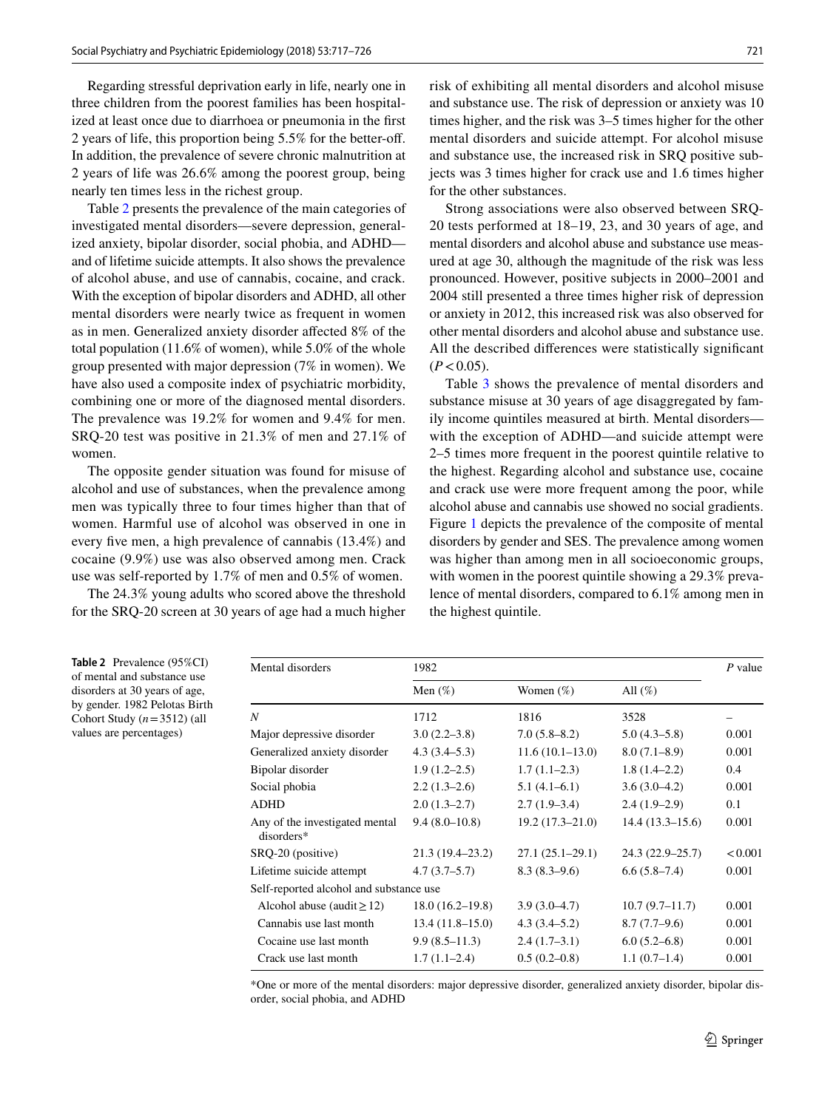Regarding stressful deprivation early in life, nearly one in three children from the poorest families has been hospitalized at least once due to diarrhoea or pneumonia in the first 2 years of life, this proportion being 5.5% for the better-off. In addition, the prevalence of severe chronic malnutrition at 2 years of life was 26.6% among the poorest group, being nearly ten times less in the richest group.

Table [2](#page-4-0) presents the prevalence of the main categories of investigated mental disorders—severe depression, generalized anxiety, bipolar disorder, social phobia, and ADHD and of lifetime suicide attempts. It also shows the prevalence of alcohol abuse, and use of cannabis, cocaine, and crack. With the exception of bipolar disorders and ADHD, all other mental disorders were nearly twice as frequent in women as in men. Generalized anxiety disorder affected 8% of the total population (11.6% of women), while 5.0% of the whole group presented with major depression (7% in women). We have also used a composite index of psychiatric morbidity, combining one or more of the diagnosed mental disorders. The prevalence was 19.2% for women and 9.4% for men. SRQ-20 test was positive in 21.3% of men and 27.1% of women.

The opposite gender situation was found for misuse of alcohol and use of substances, when the prevalence among men was typically three to four times higher than that of women. Harmful use of alcohol was observed in one in every five men, a high prevalence of cannabis (13.4%) and cocaine (9.9%) use was also observed among men. Crack use was self-reported by 1.7% of men and 0.5% of women.

The 24.3% young adults who scored above the threshold for the SRQ-20 screen at 30 years of age had a much higher risk of exhibiting all mental disorders and alcohol misuse and substance use. The risk of depression or anxiety was 10 times higher, and the risk was 3–5 times higher for the other mental disorders and suicide attempt. For alcohol misuse and substance use, the increased risk in SRQ positive subjects was 3 times higher for crack use and 1.6 times higher for the other substances.

Strong associations were also observed between SRQ-20 tests performed at 18–19, 23, and 30 years of age, and mental disorders and alcohol abuse and substance use measured at age 30, although the magnitude of the risk was less pronounced. However, positive subjects in 2000–2001 and 2004 still presented a three times higher risk of depression or anxiety in 2012, this increased risk was also observed for other mental disorders and alcohol abuse and substance use. All the described differences were statistically significant  $(P < 0.05)$ .

Table [3](#page-5-0) shows the prevalence of mental disorders and substance misuse at 30 years of age disaggregated by family income quintiles measured at birth. Mental disorders with the exception of ADHD—and suicide attempt were 2–5 times more frequent in the poorest quintile relative to the highest. Regarding alcohol and substance use, cocaine and crack use were more frequent among the poor, while alcohol abuse and cannabis use showed no social gradients. Figure [1](#page-5-1) depicts the prevalence of the composite of mental disorders by gender and SES. The prevalence among women was higher than among men in all socioeconomic groups, with women in the poorest quintile showing a 29.3% prevalence of mental disorders, compared to 6.1% among men in the highest quintile.

<span id="page-4-0"></span>**Table 2** Prevalence (95%CI) of mental and substance use disorders at 30 years of age, by gender. 1982 Pelotas Birth Cohort Study (*n*=3512) (all values are percentages)

| Mental disorders                             | 1982                |                     |                     |         |  |
|----------------------------------------------|---------------------|---------------------|---------------------|---------|--|
|                                              | Men $(\%)$          | Women $(\%)$        | All $(\%)$          |         |  |
| N                                            | 1712                | 1816                | 3528                |         |  |
| Major depressive disorder                    | $3.0(2.2 - 3.8)$    | $7.0(5.8-8.2)$      | $5.0(4.3-5.8)$      | 0.001   |  |
| Generalized anxiety disorder                 | $4.3(3.4 - 5.3)$    | $11.6(10.1-13.0)$   | $8.0(7.1 - 8.9)$    | 0.001   |  |
| Bipolar disorder                             | $1.9(1.2-2.5)$      | $1.7(1.1-2.3)$      | $1.8(1.4-2.2)$      | 0.4     |  |
| Social phobia                                | $2.2(1.3-2.6)$      | $5.1(4.1-6.1)$      | $3.6(3.0-4.2)$      | 0.001   |  |
| <b>ADHD</b>                                  | $2.0(1.3-2.7)$      | $2.7(1.9-3.4)$      | $2.4(1.9-2.9)$      | 0.1     |  |
| Any of the investigated mental<br>disorders* | $9.4(8.0-10.8)$     | $19.2(17.3 - 21.0)$ | $14.4(13.3-15.6)$   | 0.001   |  |
| SRQ-20 (positive)                            | $21.3(19.4 - 23.2)$ | $27.1(25.1-29.1)$   | $24.3(22.9 - 25.7)$ | < 0.001 |  |
| Lifetime suicide attempt                     | $4.7(3.7-5.7)$      | $8.3(8.3-9.6)$      | $6.6(5.8-7.4)$      | 0.001   |  |
| Self-reported alcohol and substance use      |                     |                     |                     |         |  |
| Alcohol abuse (audit $\geq$ 12)              | $18.0(16.2-19.8)$   | $3.9(3.0-4.7)$      | $10.7(9.7-11.7)$    | 0.001   |  |
| Cannabis use last month                      | $13.4(11.8-15.0)$   | $4.3(3.4 - 5.2)$    | $8.7(7.7-9.6)$      | 0.001   |  |
| Cocaine use last month                       | $9.9(8.5-11.3)$     | $2.4(1.7-3.1)$      | $6.0(5.2-6.8)$      | 0.001   |  |
| Crack use last month                         | $1.7(1.1-2.4)$      | $0.5(0.2-0.8)$      | $1.1(0.7-1.4)$      | 0.001   |  |

\*One or more of the mental disorders: major depressive disorder, generalized anxiety disorder, bipolar disorder, social phobia, and ADHD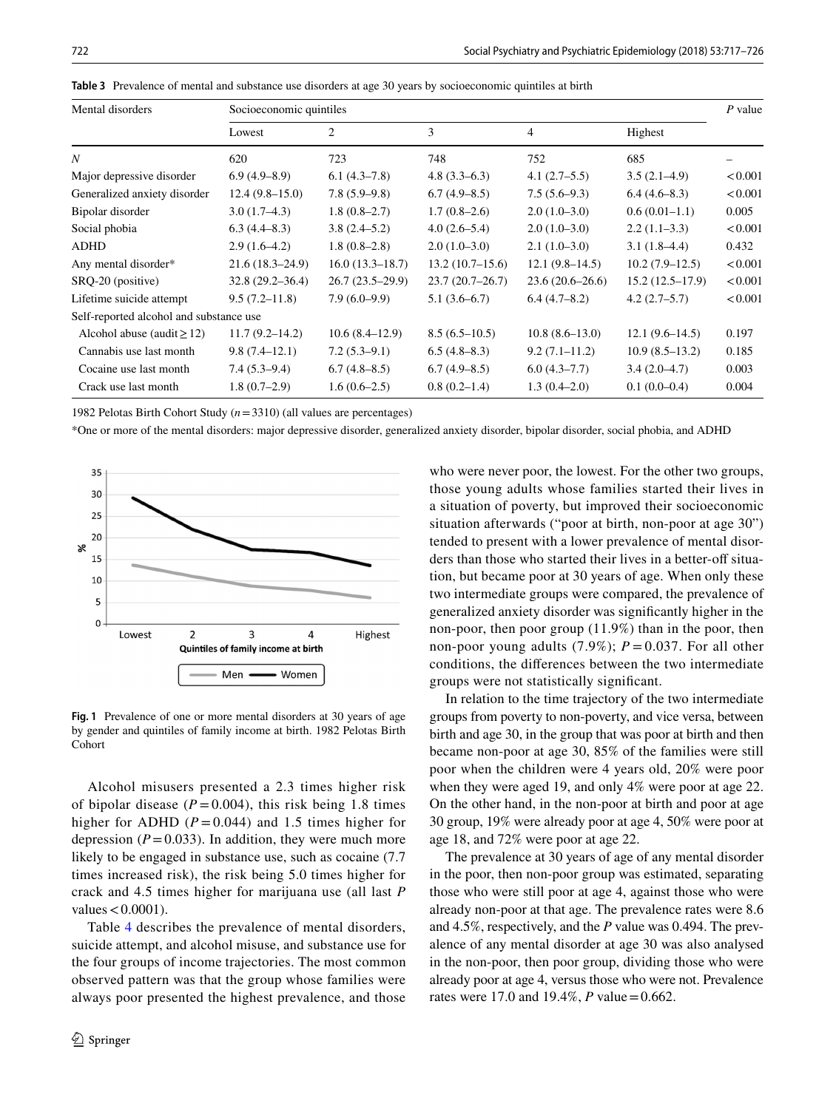| Mental disorders                        | Socioeconomic quintiles |                   |                 |                   |                   | $P$ value |
|-----------------------------------------|-------------------------|-------------------|-----------------|-------------------|-------------------|-----------|
|                                         | Lowest                  | $\overline{c}$    | 3               | $\overline{4}$    | Highest           |           |
| N                                       | 620                     | 723               | 748             | 752               | 685               |           |
| Major depressive disorder               | $6.9(4.9-8.9)$          | $6.1(4.3-7.8)$    | $4.8(3.3-6.3)$  | $4.1(2.7-5.5)$    | $3.5(2.1-4.9)$    | < 0.001   |
| Generalized anxiety disorder            | $12.4(9.8-15.0)$        | $7.8(5.9-9.8)$    | $6.7(4.9-8.5)$  | $7.5(5.6-9.3)$    | $6.4(4.6-8.3)$    | < 0.001   |
| Bipolar disorder                        | $3.0(1.7-4.3)$          | $1.8(0.8-2.7)$    | $1.7(0.8-2.6)$  | $2.0(1.0-3.0)$    | $0.6(0.01-1.1)$   | 0.005     |
| Social phobia                           | 6.3(4.4–8.3)            | $3.8(2.4 - 5.2)$  | $4.0(2.6-5.4)$  | $2.0(1.0-3.0)$    | $2.2(1.1-3.3)$    | < 0.001   |
| <b>ADHD</b>                             | $2.9(1.6-4.2)$          | $1.8(0.8-2.8)$    | $2.0(1.0-3.0)$  | $2.1(1.0-3.0)$    | $3.1(1.8-4.4)$    | 0.432     |
| Any mental disorder*                    | $21.6(18.3 - 24.9)$     | $16.0(13.3-18.7)$ | 13.2(10.7–15.6) | $12.1(9.8-14.5)$  | $10.2(7.9-12.5)$  | < 0.001   |
| SRQ-20 (positive)                       | $32.8(29.2 - 36.4)$     | $26.7(23.5-29.9)$ | 23.7(20.7–26.7) | $23.6(20.6-26.6)$ | $15.2(12.5-17.9)$ | < 0.001   |
| Lifetime suicide attempt                | $9.5(7.2 - 11.8)$       | $7.9(6.0-9.9)$    | $5.1(3.6-6.7)$  | 6.4(4.7–8.2)      | $4.2(2.7-5.7)$    | < 0.001   |
| Self-reported alcohol and substance use |                         |                   |                 |                   |                   |           |
| Alcohol abuse (audit $\geq$ 12)         | $11.7(9.2 - 14.2)$      | 10.6(8.4–12.9)    | $8.5(6.5-10.5)$ | $10.8(8.6-13.0)$  | $12.1(9.6-14.5)$  | 0.197     |
| Cannabis use last month                 | 9.8(7.4–12.1)           | $7.2(5.3-9.1)$    | 6.5(4.8–8.3)    | $9.2(7.1 - 11.2)$ | $10.9(8.5-13.2)$  | 0.185     |
| Cocaine use last month                  | $7.4(5.3-9.4)$          | $6.7(4.8-8.5)$    | $6.7(4.9-8.5)$  | $6.0(4.3-7.7)$    | $3.4(2.0-4.7)$    | 0.003     |
| Crack use last month                    | $1.8(0.7-2.9)$          | $1.6(0.6-2.5)$    | $0.8(0.2-1.4)$  | $1.3(0.4-2.0)$    | $0.1(0.0-0.4)$    | 0.004     |

<span id="page-5-0"></span>**Table 3** Prevalence of mental and substance use disorders at age 30 years by socioeconomic quintiles at birth

1982 Pelotas Birth Cohort Study (*n*=3310) (all values are percentages)

\*One or more of the mental disorders: major depressive disorder, generalized anxiety disorder, bipolar disorder, social phobia, and ADHD



<span id="page-5-1"></span>**Fig. 1** Prevalence of one or more mental disorders at 30 years of age by gender and quintiles of family income at birth. 1982 Pelotas Birth Cohort

Alcohol misusers presented a 2.3 times higher risk of bipolar disease  $(P=0.004)$ , this risk being 1.8 times higher for ADHD  $(P = 0.044)$  and 1.5 times higher for depression  $(P=0.033)$ . In addition, they were much more likely to be engaged in substance use, such as cocaine  $(7.7)$ times increased risk), the risk being 5.0 times higher for crack and 4.5 times higher for marijuana use (all last *P*  $values < 0.0001$ ).

Table [4](#page-6-0) describes the prevalence of mental disorders, suicide attempt, and alcohol misuse, and substance use for the four groups of income trajectories. The most common observed pattern was that the group whose families were always poor presented the highest prevalence, and those

who were never poor, the lowest. For the other two groups, those young adults whose families started their lives in a situation of poverty, but improved their socioeconomic situation afterwards ("poor at birth, non-poor at age 30") tended to present with a lower prevalence of mental disorders than those who started their lives in a better-off situation, but became poor at 30 years of age. When only these two intermediate groups were compared, the prevalence of generalized anxiety disorder was significantly higher in the non-poor, then poor group (11.9%) than in the poor, then non-poor young adults  $(7.9\%)$ ;  $P = 0.037$ . For all other conditions, the differences between the two intermediate groups were not statistically significant.

In relation to the time trajectory of the two intermediate groups from poverty to non-poverty, and vice versa, between birth and age 30, in the group that was poor at birth and then became non-poor at age 30, 85% of the families were still poor when the children were 4 years old, 20% were poor when they were aged 19, and only 4% were poor at age 22. On the other hand, in the non-poor at birth and poor at age 30 group, 19% were already poor at age 4, 50% were poor at age 18, and 72% were poor at age 22.

The prevalence at 30 years of age of any mental disorder in the poor, then non-poor group was estimated, separating those who were still poor at age 4, against those who were already non-poor at that age. The prevalence rates were 8.6 and 4.5%, respectively, and the *P* value was 0.494. The prevalence of any mental disorder at age 30 was also analysed in the non-poor, then poor group, dividing those who were already poor at age 4, versus those who were not. Prevalence rates were 17.0 and 19.4%, *P* value = 0.662.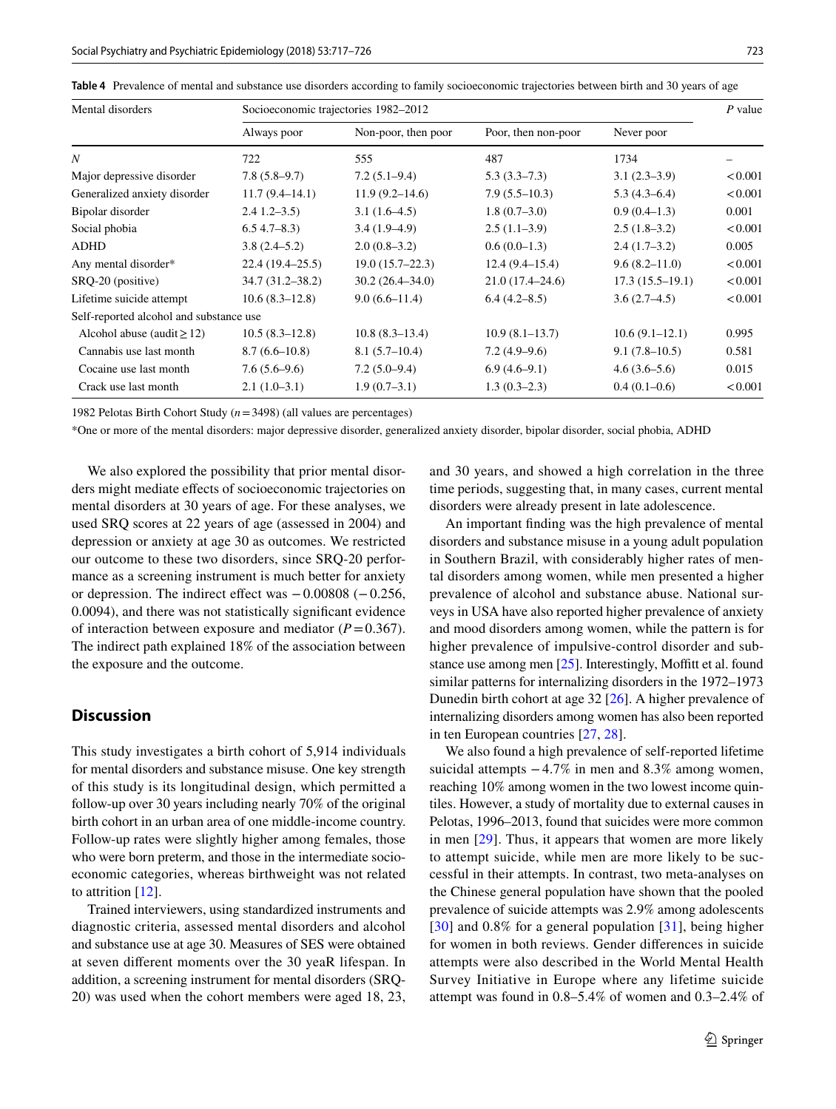| Mental disorders                        | Socioeconomic trajectories 1982-2012 |                     |                     |                   |         |  |
|-----------------------------------------|--------------------------------------|---------------------|---------------------|-------------------|---------|--|
|                                         | Always poor                          | Non-poor, then poor | Poor, then non-poor | Never poor        |         |  |
| N                                       | 722                                  | 555                 | 487                 | 1734              |         |  |
| Major depressive disorder               | $7.8(5.8-9.7)$                       | $7.2(5.1-9.4)$      | $5.3(3.3-7.3)$      | $3.1(2.3-3.9)$    | < 0.001 |  |
| Generalized anxiety disorder            | $11.7(9.4-14.1)$                     | $11.9(9.2 - 14.6)$  | $7.9(5.5-10.3)$     | $5.3(4.3-6.4)$    | < 0.001 |  |
| Bipolar disorder                        | $2.41.2 - 3.5$                       | $3.1(1.6-4.5)$      | $1.8(0.7-3.0)$      | $0.9(0.4-1.3)$    | 0.001   |  |
| Social phobia                           | $6.5$ 4.7–8.3)                       | $3.4(1.9-4.9)$      | $2.5(1.1-3.9)$      | $2.5(1.8-3.2)$    | < 0.001 |  |
| ADHD                                    | $3.8(2.4 - 5.2)$                     | $2.0(0.8-3.2)$      | $0.6(0.0-1.3)$      | $2.4(1.7-3.2)$    | 0.005   |  |
| Any mental disorder*                    | $22.4(19.4-25.5)$                    | $19.0(15.7-22.3)$   | $12.4(9.4-15.4)$    | $9.6(8.2 - 11.0)$ | < 0.001 |  |
| SRQ-20 (positive)                       | $34.7(31.2 - 38.2)$                  | $30.2(26.4 - 34.0)$ | $21.0(17.4 - 24.6)$ | $17.3(15.5-19.1)$ | < 0.001 |  |
| Lifetime suicide attempt                | $10.6(8.3-12.8)$                     | $9.0(6.6-11.4)$     | $6.4(4.2 - 8.5)$    | $3.6(2.7-4.5)$    | < 0.001 |  |
| Self-reported alcohol and substance use |                                      |                     |                     |                   |         |  |
| Alcohol abuse (audit $\geq$ 12)         | $10.5(8.3-12.8)$                     | $10.8(8.3-13.4)$    | $10.9(8.1-13.7)$    | $10.6(9.1-12.1)$  | 0.995   |  |
| Cannabis use last month                 | $8.7(6.6-10.8)$                      | 8.1(5.7–10.4)       | $7.2(4.9-9.6)$      | $9.1(7.8-10.5)$   | 0.581   |  |
| Cocaine use last month                  | $7.6(5.6-9.6)$                       | $7.2(5.0-9.4)$      | $6.9(4.6-9.1)$      | $4.6(3.6-5.6)$    | 0.015   |  |
| Crack use last month                    | $2.1(1.0-3.1)$                       | $1.9(0.7-3.1)$      | $1.3(0.3-2.3)$      | $0.4(0.1-0.6)$    | < 0.001 |  |

<span id="page-6-0"></span>**Table 4** Prevalence of mental and substance use disorders according to family socioeconomic trajectories between birth and 30 years of age

1982 Pelotas Birth Cohort Study (*n*=3498) (all values are percentages)

\*One or more of the mental disorders: major depressive disorder, generalized anxiety disorder, bipolar disorder, social phobia, ADHD

We also explored the possibility that prior mental disorders might mediate effects of socioeconomic trajectories on mental disorders at 30 years of age. For these analyses, we used SRQ scores at 22 years of age (assessed in 2004) and depression or anxiety at age 30 as outcomes. We restricted our outcome to these two disorders, since SRQ-20 performance as a screening instrument is much better for anxiety or depression. The indirect effect was −0.00808 (−0.256, 0.0094), and there was not statistically significant evidence of interaction between exposure and mediator  $(P=0.367)$ . The indirect path explained 18% of the association between the exposure and the outcome.

#### **Discussion**

This study investigates a birth cohort of 5,914 individuals for mental disorders and substance misuse. One key strength of this study is its longitudinal design, which permitted a follow-up over 30 years including nearly 70% of the original birth cohort in an urban area of one middle-income country. Follow-up rates were slightly higher among females, those who were born preterm, and those in the intermediate socioeconomic categories, whereas birthweight was not related to attrition [\[12\]](#page-8-11).

Trained interviewers, using standardized instruments and diagnostic criteria, assessed mental disorders and alcohol and substance use at age 30. Measures of SES were obtained at seven different moments over the 30 yeaR lifespan. In addition, a screening instrument for mental disorders (SRQ-20) was used when the cohort members were aged 18, 23,

and 30 years, and showed a high correlation in the three time periods, suggesting that, in many cases, current mental disorders were already present in late adolescence.

An important finding was the high prevalence of mental disorders and substance misuse in a young adult population in Southern Brazil, with considerably higher rates of mental disorders among women, while men presented a higher prevalence of alcohol and substance abuse. National surveys in USA have also reported higher prevalence of anxiety and mood disorders among women, while the pattern is for higher prevalence of impulsive-control disorder and substance use among men [[25\]](#page-9-1). Interestingly, Moffitt et al. found similar patterns for internalizing disorders in the 1972–1973 Dunedin birth cohort at age 32 [\[26\]](#page-9-2). A higher prevalence of internalizing disorders among women has also been reported in ten European countries [\[27,](#page-9-3) [28\]](#page-9-4).

We also found a high prevalence of self-reported lifetime suicidal attempts −4.7% in men and 8.3% among women, reaching 10% among women in the two lowest income quintiles. However, a study of mortality due to external causes in Pelotas, 1996–2013, found that suicides were more common in men [\[29\]](#page-9-5). Thus, it appears that women are more likely to attempt suicide, while men are more likely to be successful in their attempts. In contrast, two meta-analyses on the Chinese general population have shown that the pooled prevalence of suicide attempts was 2.9% among adolescents [[30\]](#page-9-6) and 0.8% for a general population  $[31]$  $[31]$  $[31]$ , being higher for women in both reviews. Gender differences in suicide attempts were also described in the World Mental Health Survey Initiative in Europe where any lifetime suicide attempt was found in 0.8–5.4% of women and 0.3–2.4% of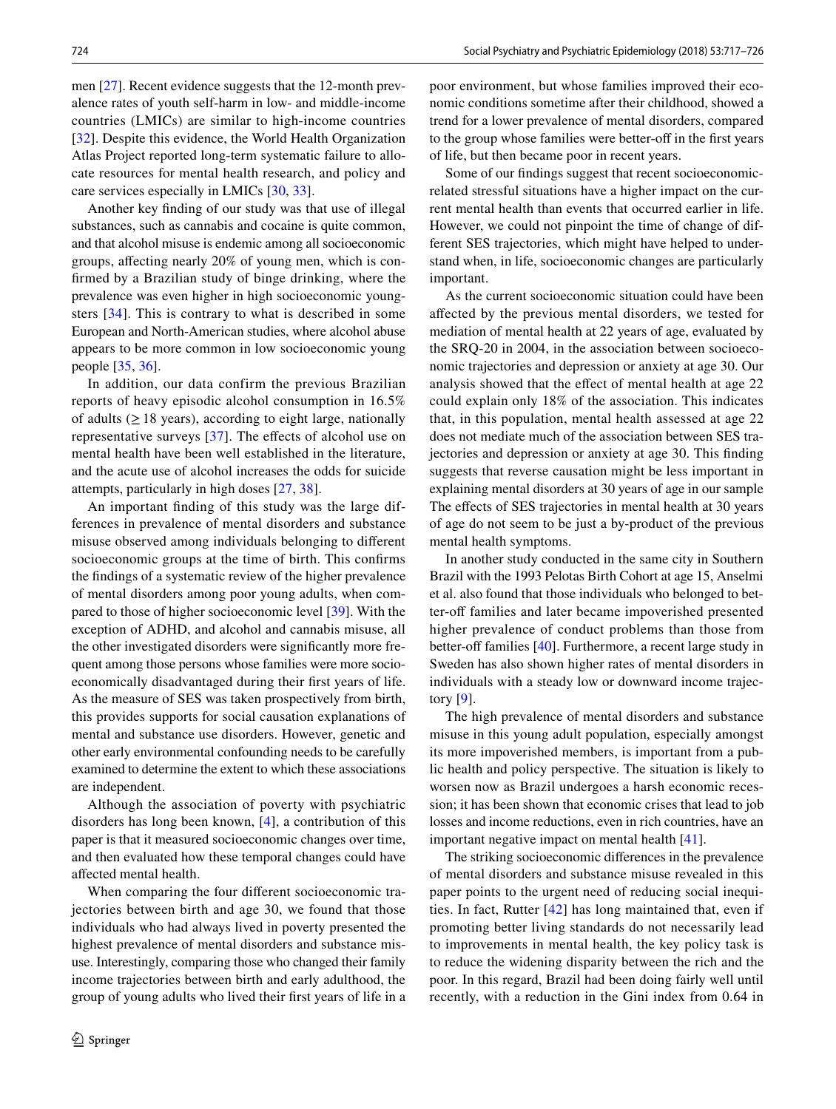men [[27\]](#page-9-3). Recent evidence suggests that the 12-month prevalence rates of youth self-harm in low- and middle-income countries (LMICs) are similar to high-income countries [\[32\]](#page-9-8). Despite this evidence, the World Health Organization Atlas Project reported long-term systematic failure to allocate resources for mental health research, and policy and care services especially in LMICs [\[30,](#page-9-6) [33\]](#page-9-9).

Another key finding of our study was that use of illegal substances, such as cannabis and cocaine is quite common, and that alcohol misuse is endemic among all socioeconomic groups, affecting nearly 20% of young men, which is confirmed by a Brazilian study of binge drinking, where the prevalence was even higher in high socioeconomic youngsters [[34](#page-9-10)]. This is contrary to what is described in some European and North-American studies, where alcohol abuse appears to be more common in low socioeconomic young people [[35,](#page-9-11) [36\]](#page-9-12).

In addition, our data confirm the previous Brazilian reports of heavy episodic alcohol consumption in 16.5% of adults  $(≥18 \text{ years})$ , according to eight large, nationally representative surveys [\[37\]](#page-9-13). The effects of alcohol use on mental health have been well established in the literature, and the acute use of alcohol increases the odds for suicide attempts, particularly in high doses [\[27](#page-9-3), [38](#page-9-14)].

An important finding of this study was the large differences in prevalence of mental disorders and substance misuse observed among individuals belonging to different socioeconomic groups at the time of birth. This confirms the findings of a systematic review of the higher prevalence of mental disorders among poor young adults, when compared to those of higher socioeconomic level [[39](#page-9-15)]. With the exception of ADHD, and alcohol and cannabis misuse, all the other investigated disorders were significantly more frequent among those persons whose families were more socioeconomically disadvantaged during their first years of life. As the measure of SES was taken prospectively from birth, this provides supports for social causation explanations of mental and substance use disorders. However, genetic and other early environmental confounding needs to be carefully examined to determine the extent to which these associations are independent.

Although the association of poverty with psychiatric disorders has long been known, [[4](#page-8-3)], a contribution of this paper is that it measured socioeconomic changes over time, and then evaluated how these temporal changes could have affected mental health.

When comparing the four different socioeconomic trajectories between birth and age 30, we found that those individuals who had always lived in poverty presented the highest prevalence of mental disorders and substance misuse. Interestingly, comparing those who changed their family income trajectories between birth and early adulthood, the group of young adults who lived their first years of life in a poor environment, but whose families improved their economic conditions sometime after their childhood, showed a trend for a lower prevalence of mental disorders, compared to the group whose families were better-off in the first years of life, but then became poor in recent years.

Some of our findings suggest that recent socioeconomicrelated stressful situations have a higher impact on the current mental health than events that occurred earlier in life. However, we could not pinpoint the time of change of different SES trajectories, which might have helped to understand when, in life, socioeconomic changes are particularly important.

As the current socioeconomic situation could have been affected by the previous mental disorders, we tested for mediation of mental health at 22 years of age, evaluated by the SRQ-20 in 2004, in the association between socioeconomic trajectories and depression or anxiety at age 30. Our analysis showed that the effect of mental health at age 22 could explain only 18% of the association. This indicates that, in this population, mental health assessed at age 22 does not mediate much of the association between SES trajectories and depression or anxiety at age 30. This finding suggests that reverse causation might be less important in explaining mental disorders at 30 years of age in our sample The effects of SES trajectories in mental health at 30 years of age do not seem to be just a by-product of the previous mental health symptoms.

In another study conducted in the same city in Southern Brazil with the 1993 Pelotas Birth Cohort at age 15, Anselmi et al. also found that those individuals who belonged to better-off families and later became impoverished presented higher prevalence of conduct problems than those from better-off families [\[40](#page-9-16)]. Furthermore, a recent large study in Sweden has also shown higher rates of mental disorders in individuals with a steady low or downward income trajectory  $[9]$  $[9]$ .

The high prevalence of mental disorders and substance misuse in this young adult population, especially amongst its more impoverished members, is important from a public health and policy perspective. The situation is likely to worsen now as Brazil undergoes a harsh economic recession; it has been shown that economic crises that lead to job losses and income reductions, even in rich countries, have an important negative impact on mental health [[41\]](#page-9-17).

The striking socioeconomic differences in the prevalence of mental disorders and substance misuse revealed in this paper points to the urgent need of reducing social inequities. In fact, Rutter [[42](#page-9-18)] has long maintained that, even if promoting better living standards do not necessarily lead to improvements in mental health, the key policy task is to reduce the widening disparity between the rich and the poor. In this regard, Brazil had been doing fairly well until recently, with a reduction in the Gini index from 0.64 in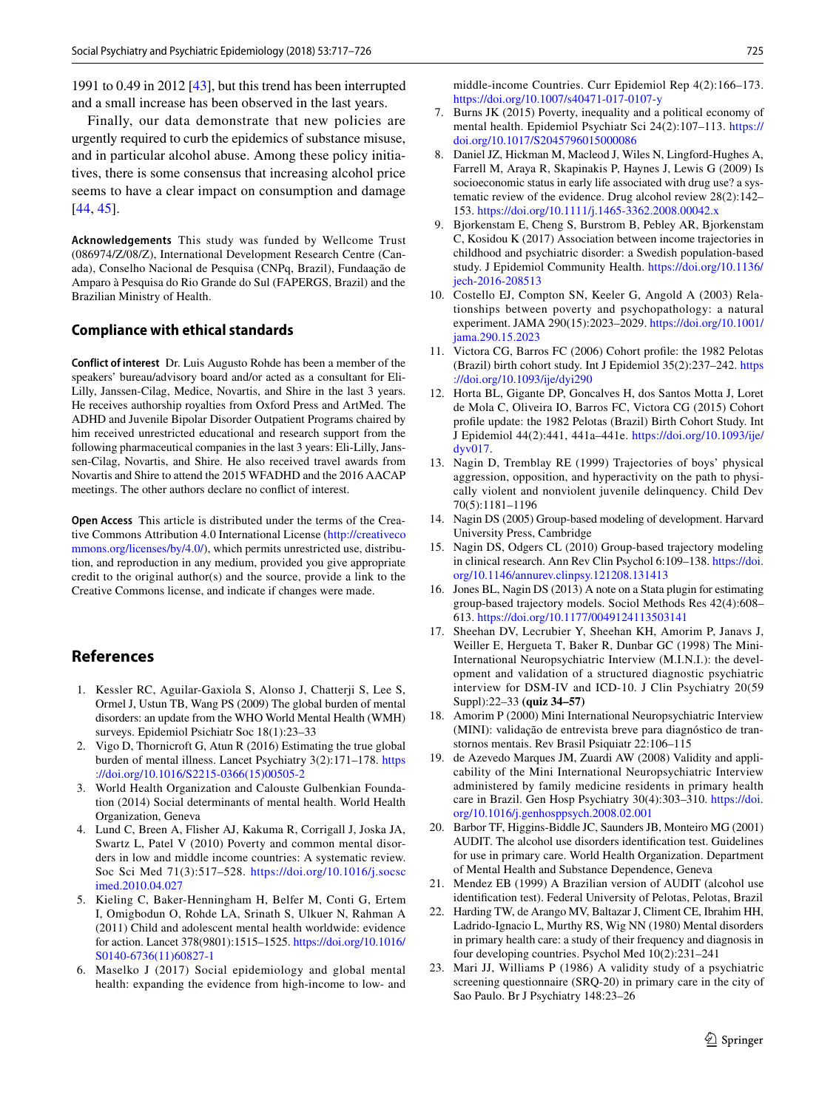1991 to 0.49 in 2012 [\[43](#page-9-19)], but this trend has been interrupted and a small increase has been observed in the last years.

Finally, our data demonstrate that new policies are urgently required to curb the epidemics of substance misuse, and in particular alcohol abuse. Among these policy initiatives, there is some consensus that increasing alcohol price seems to have a clear impact on consumption and damage [\[44,](#page-9-20) [45\]](#page-9-21).

**Acknowledgements** This study was funded by Wellcome Trust (086974/Z/08/Z), International Development Research Centre (Canada), Conselho Nacional de Pesquisa (CNPq, Brazil), Fundaação de Amparo à Pesquisa do Rio Grande do Sul (FAPERGS, Brazil) and the Brazilian Ministry of Health.

#### **Compliance with ethical standards**

**Conflict of interest** Dr. Luis Augusto Rohde has been a member of the speakers' bureau/advisory board and/or acted as a consultant for Eli-Lilly, Janssen-Cilag, Medice, Novartis, and Shire in the last 3 years. He receives authorship royalties from Oxford Press and ArtMed. The ADHD and Juvenile Bipolar Disorder Outpatient Programs chaired by him received unrestricted educational and research support from the following pharmaceutical companies in the last 3 years: Eli-Lilly, Janssen-Cilag, Novartis, and Shire. He also received travel awards from Novartis and Shire to attend the 2015 WFADHD and the 2016 AACAP meetings. The other authors declare no conflict of interest.

**Open Access** This article is distributed under the terms of the Creative Commons Attribution 4.0 International License [\(http://creativeco](http://creativecommons.org/licenses/by/4.0/) [mmons.org/licenses/by/4.0/](http://creativecommons.org/licenses/by/4.0/)), which permits unrestricted use, distribution, and reproduction in any medium, provided you give appropriate credit to the original author(s) and the source, provide a link to the Creative Commons license, and indicate if changes were made.

## **References**

- <span id="page-8-0"></span>1. Kessler RC, Aguilar-Gaxiola S, Alonso J, Chatterji S, Lee S, Ormel J, Ustun TB, Wang PS (2009) The global burden of mental disorders: an update from the WHO World Mental Health (WMH) surveys. Epidemiol Psichiatr Soc 18(1):23–33
- <span id="page-8-1"></span>2. Vigo D, Thornicroft G, Atun R (2016) Estimating the true global burden of mental illness. Lancet Psychiatry 3(2):171–178. [https](https://doi.org/10.1016/S2215-0366(15)00505-2) [://doi.org/10.1016/S2215-0366\(15\)00505-2](https://doi.org/10.1016/S2215-0366(15)00505-2)
- <span id="page-8-2"></span>3. World Health Organization and Calouste Gulbenkian Foundation (2014) Social determinants of mental health. World Health Organization, Geneva
- <span id="page-8-3"></span>4. Lund C, Breen A, Flisher AJ, Kakuma R, Corrigall J, Joska JA, Swartz L, Patel V (2010) Poverty and common mental disorders in low and middle income countries: A systematic review. Soc Sci Med 71(3):517–528. [https://doi.org/10.1016/j.socsc](https://doi.org/10.1016/j.socscimed.2010.04.027) [imed.2010.04.027](https://doi.org/10.1016/j.socscimed.2010.04.027)
- <span id="page-8-4"></span>5. Kieling C, Baker-Henningham H, Belfer M, Conti G, Ertem I, Omigbodun O, Rohde LA, Srinath S, Ulkuer N, Rahman A (2011) Child and adolescent mental health worldwide: evidence for action. Lancet 378(9801):1515–1525. [https://doi.org/10.1016/](https://doi.org/10.1016/S0140-6736(11)60827-1) [S0140-6736\(11\)60827-1](https://doi.org/10.1016/S0140-6736(11)60827-1)
- <span id="page-8-5"></span>6. Maselko J (2017) Social epidemiology and global mental health: expanding the evidence from high-income to low- and

middle-income Countries. Curr Epidemiol Rep 4(2):166–173. <https://doi.org/10.1007/s40471-017-0107-y>

- <span id="page-8-6"></span>7. Burns JK (2015) Poverty, inequality and a political economy of mental health. Epidemiol Psychiatr Sci 24(2):107–113. [https://](https://doi.org/10.1017/S2045796015000086) [doi.org/10.1017/S2045796015000086](https://doi.org/10.1017/S2045796015000086)
- <span id="page-8-7"></span>Daniel JZ, Hickman M, Macleod J, Wiles N, Lingford-Hughes A, Farrell M, Araya R, Skapinakis P, Haynes J, Lewis G (2009) Is socioeconomic status in early life associated with drug use? a systematic review of the evidence. Drug alcohol review 28(2):142– 153.<https://doi.org/10.1111/j.1465-3362.2008.00042.x>
- <span id="page-8-8"></span>9. Bjorkenstam E, Cheng S, Burstrom B, Pebley AR, Bjorkenstam C, Kosidou K (2017) Association between income trajectories in childhood and psychiatric disorder: a Swedish population-based study. J Epidemiol Community Health. [https://doi.org/10.1136/](https://doi.org/10.1136/jech-2016-208513) [jech-2016-208513](https://doi.org/10.1136/jech-2016-208513)
- <span id="page-8-9"></span>10. Costello EJ, Compton SN, Keeler G, Angold A (2003) Relationships between poverty and psychopathology: a natural experiment. JAMA 290(15):2023–2029. [https://doi.org/10.1001/](https://doi.org/10.1001/jama.290.15.2023) [jama.290.15.2023](https://doi.org/10.1001/jama.290.15.2023)
- <span id="page-8-10"></span>11. Victora CG, Barros FC (2006) Cohort profile: the 1982 Pelotas (Brazil) birth cohort study. Int J Epidemiol 35(2):237–242. [https](https://doi.org/10.1093/ije/dyi290) [://doi.org/10.1093/ije/dyi290](https://doi.org/10.1093/ije/dyi290)
- <span id="page-8-11"></span>12. Horta BL, Gigante DP, Goncalves H, dos Santos Motta J, Loret de Mola C, Oliveira IO, Barros FC, Victora CG (2015) Cohort profile update: the 1982 Pelotas (Brazil) Birth Cohort Study. Int J Epidemiol 44(2):441, 441a–441e. [https://doi.org/10.1093/ije/](https://doi.org/10.1093/ije/dyv017) [dyv017.](https://doi.org/10.1093/ije/dyv017)
- <span id="page-8-12"></span>13. Nagin D, Tremblay RE (1999) Trajectories of boys' physical aggression, opposition, and hyperactivity on the path to physically violent and nonviolent juvenile delinquency. Child Dev 70(5):1181–1196
- <span id="page-8-13"></span>14. Nagin DS (2005) Group-based modeling of development. Harvard University Press, Cambridge
- <span id="page-8-14"></span>15. Nagin DS, Odgers CL (2010) Group-based trajectory modeling in clinical research. Ann Rev Clin Psychol 6:109–138. [https://doi.](https://doi.org/10.1146/annurev.clinpsy.121208.131413) [org/10.1146/annurev.clinpsy.121208.131413](https://doi.org/10.1146/annurev.clinpsy.121208.131413)
- <span id="page-8-15"></span>16. Jones BL, Nagin DS (2013) A note on a Stata plugin for estimating group-based trajectory models. Sociol Methods Res 42(4):608– 613.<https://doi.org/10.1177/0049124113503141>
- <span id="page-8-16"></span>17. Sheehan DV, Lecrubier Y, Sheehan KH, Amorim P, Janavs J, Weiller E, Hergueta T, Baker R, Dunbar GC (1998) The Mini-International Neuropsychiatric Interview (M.I.N.I.): the development and validation of a structured diagnostic psychiatric interview for DSM-IV and ICD-10. J Clin Psychiatry 20(59 Suppl):22–33 **(quiz 34–57)**
- <span id="page-8-17"></span>18. Amorim P (2000) Mini International Neuropsychiatric Interview (MINI): validação de entrevista breve para diagnóstico de transtornos mentais. Rev Brasil Psiquiatr 22:106–115
- <span id="page-8-18"></span>19. de Azevedo Marques JM, Zuardi AW (2008) Validity and applicability of the Mini International Neuropsychiatric Interview administered by family medicine residents in primary health care in Brazil. Gen Hosp Psychiatry 30(4):303–310. [https://doi.](https://doi.org/10.1016/j.genhosppsych.2008.02.001) [org/10.1016/j.genhosppsych.2008.02.001](https://doi.org/10.1016/j.genhosppsych.2008.02.001)
- <span id="page-8-19"></span>20. Barbor TF, Higgins-Biddle JC, Saunders JB, Monteiro MG (2001) AUDIT. The alcohol use disorders identification test. Guidelines for use in primary care. World Health Organization. Department of Mental Health and Substance Dependence, Geneva
- <span id="page-8-20"></span>21. Mendez EB (1999) A Brazilian version of AUDIT (alcohol use identification test). Federal University of Pelotas, Pelotas, Brazil
- <span id="page-8-21"></span>22. Harding TW, de Arango MV, Baltazar J, Climent CE, Ibrahim HH, Ladrido-Ignacio L, Murthy RS, Wig NN (1980) Mental disorders in primary health care: a study of their frequency and diagnosis in four developing countries. Psychol Med 10(2):231–241
- <span id="page-8-22"></span>23. Mari JJ, Williams P (1986) A validity study of a psychiatric screening questionnaire (SRQ-20) in primary care in the city of Sao Paulo. Br J Psychiatry 148:23–26